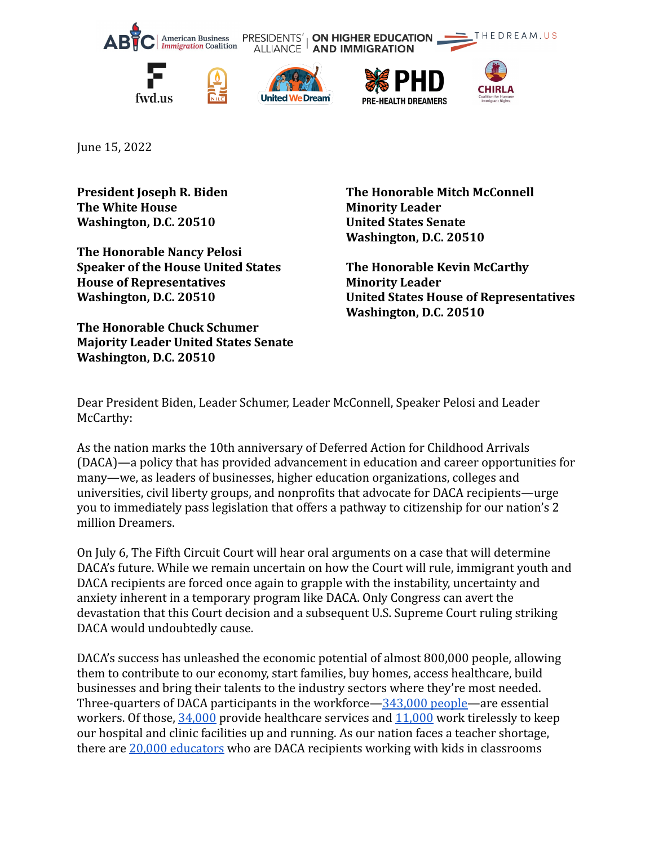

June 15, 2022

**President Joseph R. Biden The White House Washington, D.C. 20510**

**The Honorable Nancy Pelosi Speaker of the House United States House of Representatives Washington, D.C. 20510**

**The Honorable Chuck Schumer Majority Leader United States Senate Washington, D.C. 20510**

**The Honorable Mitch McConnell Minority Leader United States Senate Washington, D.C. 20510**

**The Honorable Kevin McCarthy Minority Leader United States House of Representatives Washington, D.C. 20510**

Dear President Biden, Leader Schumer, Leader McConnell, Speaker Pelosi and Leader McCarthy:

As the nation marks the 10th anniversary of Deferred Action for Childhood Arrivals (DACA)—a policy that has provided advancement in education and career opportunities for many—we, as leaders of businesses, higher education organizations, colleges and universities, civil liberty groups, and nonprofits that advocate for DACA recipients—urge you to immediately pass legislation that offers a pathway to citizenship for our nation's 2 million Dreamers.

On July 6, The Fifth Circuit Court will hear oral arguments on a case that will determine DACA's future. While we remain uncertain on how the Court will rule, immigrant youth and DACA recipients are forced once again to grapple with the instability, uncertainty and anxiety inherent in a temporary program like DACA. Only Congress can avert the devastation that this Court decision and a subsequent U.S. Supreme Court ruling striking DACA would undoubtedly cause.

DACA's success has unleashed the economic potential of almost 800,000 people, allowing them to contribute to our economy, start families, buy homes, access healthcare, build businesses and bring their talents to the industry sectors where they're most needed. Three-quarters of DACA participants in the workforce[—343,000](https://www.americanprogress.org/article/the-demographic-and-economic-impacts-of-daca-recipients-fall-2021-edition/) people—are essential workers. Of those, [34,000](https://www.americanprogress.org/article/the-demographic-and-economic-impacts-of-daca-recipients-fall-2021-edition/) provide healthcare services and [11,000](https://www.americanprogress.org/article/the-demographic-and-economic-impacts-of-daca-recipients-fall-2021-edition/) work tirelessly to keep our hospital and clinic facilities up and running. As our nation faces a teacher shortage, there are [20,000 educators](https://www.migrationpolicy.org/research/profile-current-daca-recipients-education-industry-and-occupation) who are DACA recipients working with kids in classrooms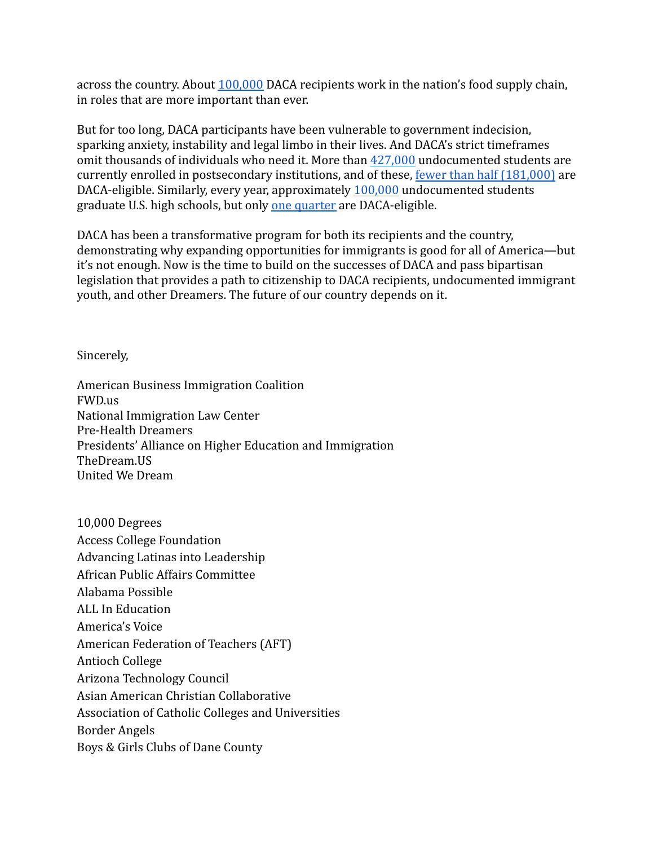across the country. About [100,000](https://www.americanprogress.org/article/the-demographic-and-economic-impacts-of-daca-recipients-fall-2021-edition/) DACA recipients work in the nation's food supply chain, in roles that are more important than ever.

But for too long, DACA participants have been vulnerable to government indecision, sparking anxiety, instability and legal limbo in their lives. And DACA's strict timeframes omit thousands of individuals who need it. More than [427,000](https://www.higheredimmigrationportal.org/research/undocumented-students-in-higher-education-updated-march-2021/) undocumented students are currently enrolled in postsecondary institutions, and of these, [fewer than half \(181,000\)](https://www.higheredimmigrationportal.org/research/undocumented-students-in-higher-education-updated-march-2021/) are DACA-eligible. Similarly, every year, approximately [100,000](https://www.higheredimmigrationportal.org/research/migration-policy-institute-fact-sheet-on-number-of-dreamers-graduating-from-high-school/) undocumented students graduate U.S. high schools, but only [one quarter](https://www.fwd.us/news/undocumented-high-school-graduates/) are DACA-eligible.

DACA has been a transformative program for both its recipients and the country, demonstrating why expanding opportunities for immigrants is good for all of America—but it's not enough. Now is the time to build on the successes of DACA and pass bipartisan legislation that provides a path to citizenship to DACA recipients, undocumented immigrant youth, and other Dreamers. The future of our country depends on it.

Sincerely,

American Business Immigration Coalition FWD.us National Immigration Law Center Pre-Health Dreamers Presidents' Alliance on Higher Education and Immigration TheDream.US United We Dream

10,000 Degrees Access College Foundation Advancing Latinas into Leadership African Public Affairs Committee Alabama Possible ALL In Education America's Voice American Federation of Teachers (AFT) Antioch College Arizona Technology Council Asian American Christian Collaborative Association of Catholic Colleges and Universities Border Angels Boys & Girls Clubs of Dane County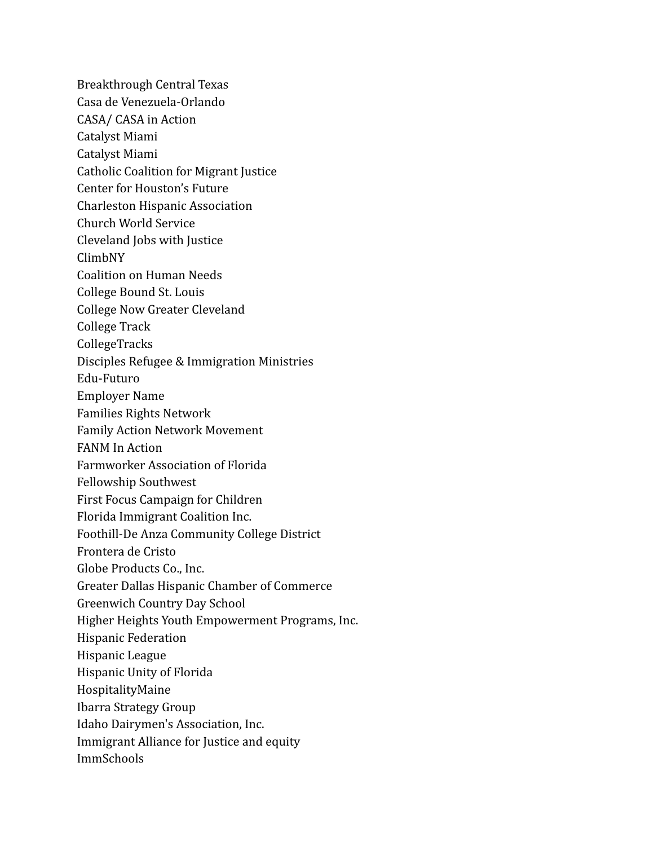Breakthrough Central Texas Casa de Venezuela-Orlando CASA/ CASA in Action Catalyst Miami Catalyst Miami Catholic Coalition for Migrant Justice Center for Houston's Future Charleston Hispanic Association Church World Service Cleveland Jobs with Justice ClimbNY Coalition on Human Needs College Bound St. Louis College Now Greater Cleveland College Track CollegeTracks Disciples Refugee & Immigration Ministries Edu-Futuro Employer Name Families Rights Network Family Action Network Movement FANM In Action Farmworker Association of Florida Fellowship Southwest First Focus Campaign for Children Florida Immigrant Coalition Inc. Foothill-De Anza Community College District Frontera de Cristo Globe Products Co., Inc. Greater Dallas Hispanic Chamber of Commerce Greenwich Country Day School Higher Heights Youth Empowerment Programs, Inc. Hispanic Federation Hispanic League Hispanic Unity of Florida HospitalityMaine Ibarra Strategy Group Idaho Dairymen's Association, Inc. Immigrant Alliance for Justice and equity ImmSchools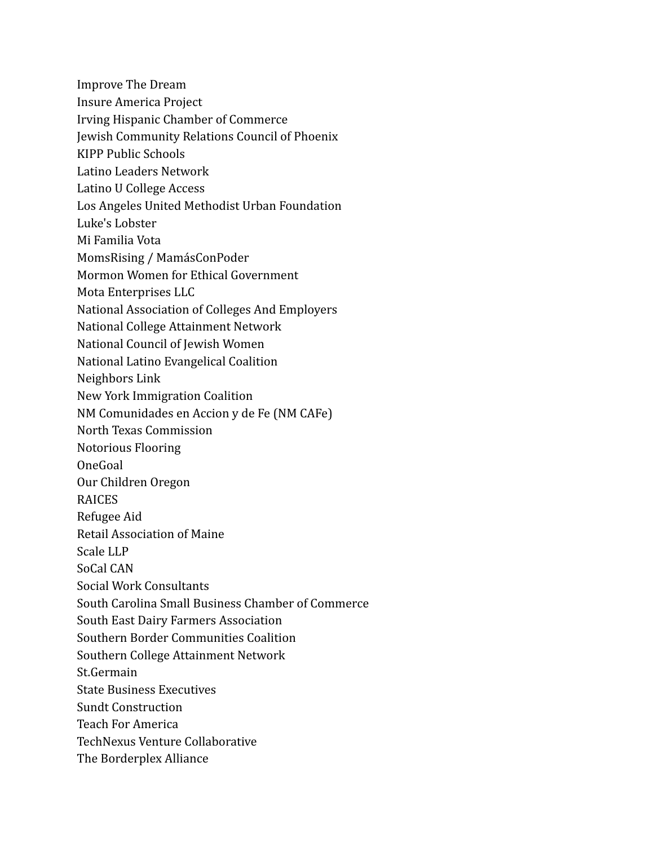- Improve The Dream
- Insure America Project
- Irving Hispanic Chamber of Commerce
- Jewish Community Relations Council of Phoenix
- KIPP Public Schools
- Latino Leaders Network
- Latino U College Access
- Los Angeles United Methodist Urban Foundation
- Luke's Lobster
- Mi Familia Vota
- MomsRising / MamásConPoder
- Mormon Women for Ethical Government
- Mota Enterprises LLC
- National Association of Colleges And Employers
- National College Attainment Network
- National Council of Jewish Women
- National Latino Evangelical Coalition
- Neighbors Link
- New York Immigration Coalition
- NM Comunidades en Accion y de Fe (NM CAFe)
- North Texas Commission
- Notorious Flooring
- OneGoal
- Our Children Oregon
- RAICES
- Refugee Aid
- Retail Association of Maine
- Scale LLP
- SoCal CAN
- Social Work Consultants
- South Carolina Small Business Chamber of Commerce
- South East Dairy Farmers Association
- Southern Border Communities Coalition
- Southern College Attainment Network
- St.Germain
- State Business Executives
- Sundt Construction
- Teach For America
- TechNexus Venture Collaborative
- The Borderplex Alliance